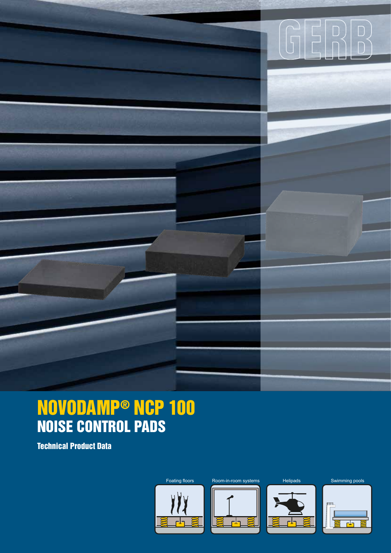

Technical Product Data





 $\widehat{G}$ 



Foating floors Room-in-room systems Helipads Swimming pools

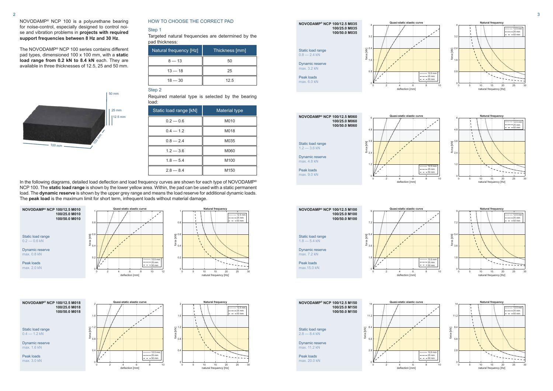

Static load range  $0.4 - 1.2$  kN



**NOVODAMP® NCP 100/12.5 M018 100/25.0 M018 100/50.0 M018**

Dynamic reserve max. 1.6 kN

Peak loads max. 3.0 kN





## NOVODAMP® NCP 100 is a polyurethane bearing for noise-control, especially designed to control noise and vibration problems in **projects with required support frequencies between 8 Hz and 30 Hz**.

In the following diagrams, detailed load deflection and load frequency curves are shown for each type of NOVODAMP® NCP 100. The **static load range** is shown by the lower yellow area. Within, the pad can be used with a static permanent load. The **dynamic reserve** is shown by the upper grey range and means the load reserve for additional dynamic loads. The **peak load** is the maximum limit for short term, infrequent loads without material damage.

> $\cdots$  12.5 mm  $-- 25$  mm  $-50 \text{ mm}$

The NOVODAMP® NCP 100 series contains different pad types, dimensioned 100 x 100 mm, with a **static**  load range from 0.2 kN to 8.4 kN each. They are available in three thicknesses of 12.5, 25 and 50 mm.

## HOW TO CHOOSE THE CORRECT PAD

## Step 1

## Step 2

Targeted natural frequencies are determined by the pad thickness:

| Natural frequency [Hz] | Thickness [mm] |
|------------------------|----------------|
| $8 - 13$               | 50             |
| $13 - 18$              | 25             |
| $18 - 30$              | 12.5           |

Required material type is selected by the bearing load:

| Static load range [kN] | Material type    |
|------------------------|------------------|
| $0.2 - 0.6$            | M010             |
| $0.4 - 1.2$            | M018             |
| $0.8 - 2.4$            | M035             |
| $1.2 - 3.6$            | M060             |
| $1.8 - 5.4$            | M <sub>100</sub> |
| $2.8 - 8.4$            | M <sub>150</sub> |

max. 7.2 kN Peak loads max.15.0 kN

Peak loads